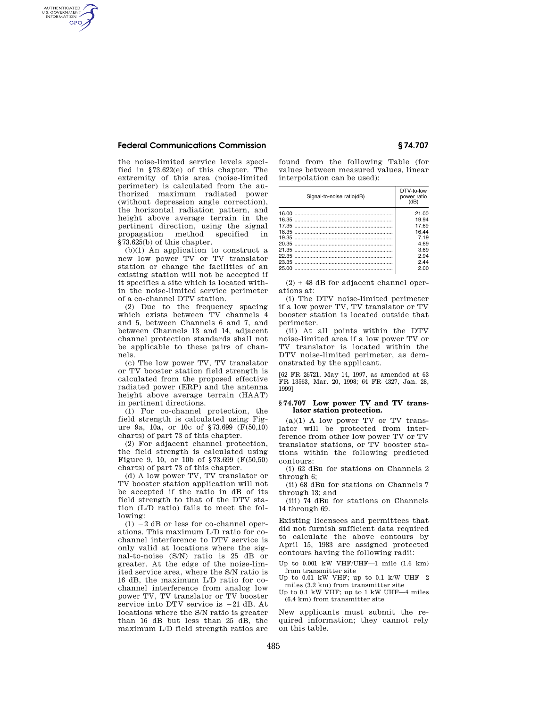# **Federal Communications Commission § 74.707**

AUTHENTICATED<br>U.S. GOVERNMENT<br>INFORMATION **GPO** 

> the noise-limited service levels specified in §73.622(e) of this chapter. The extremity of this area (noise-limited perimeter) is calculated from the authorized maximum radiated power (without depression angle correction), the horizontal radiation pattern, and height above average terrain in the pertinent direction, using the signal propagation method specified in §73.625(b) of this chapter.

> (b)(1) An application to construct a new low power TV or TV translator station or change the facilities of an existing station will not be accepted if it specifies a site which is located within the noise-limited service perimeter of a co-channel DTV station.

> (2) Due to the frequency spacing which exists between TV channels 4 and 5, between Channels 6 and 7, and between Channels 13 and 14, adjacent channel protection standards shall not be applicable to these pairs of channels.

> (c) The low power TV, TV translator or TV booster station field strength is calculated from the proposed effective radiated power (ERP) and the antenna height above average terrain (HAAT) in pertinent directions.

> (1) For co-channel protection, the field strength is calculated using Figure 9a, 10a, or 10c of §73.699 (F(50,10) charts) of part 73 of this chapter.

> (2) For adjacent channel protection, the field strength is calculated using Figure 9, 10, or 10b of §73.699 (F(50,50) charts) of part 73 of this chapter.

> (d) A low power TV, TV translator or TV booster station application will not be accepted if the ratio in dB of its field strength to that of the DTV station (L/D ratio) fails to meet the following:

> $(1) -2$  dB or less for co-channel operations. This maximum L/D ratio for cochannel interference to DTV service is only valid at locations where the signal-to-noise (S/N) ratio is 25 dB or greater. At the edge of the noise-limited service area, where the S/N ratio is 16 dB, the maximum L/D ratio for cochannel interference from analog low power TV, TV translator or TV booster service into DTV service is  $-21$  dB. At locations where the S/N ratio is greater than 16 dB but less than 25 dB, the maximum L/D field strength ratios are

found from the following Table (for values between measured values, linear interpolation can be used):

| Signal-to-noise ratio(dB) | DTV-to-low<br>power ratio<br>(dB) |
|---------------------------|-----------------------------------|
|                           | 21.00                             |
|                           | 19.94                             |
|                           | 17.69                             |
|                           | 16.44                             |
|                           | 7.19                              |
|                           | 4.69                              |
|                           | 3.69                              |
|                           | 2.94                              |
|                           | 244                               |
| 25.00                     | 2.00                              |
|                           |                                   |

(2) + 48 dB for adjacent channel operations at:

(i) The DTV noise-limited perimeter if a low power TV, TV translator or TV booster station is located outside that perimeter.

(ii) At all points within the DTV noise-limited area if a low power TV or TV translator is located within the DTV noise-limited perimeter, as demonstrated by the applicant.

[62 FR 26721, May 14, 1997, as amended at 63 FR 13563, Mar. 20, 1998; 64 FR 4327, Jan. 28, 1999]

#### **§ 74.707 Low power TV and TV translator station protection.**

 $(a)(1)$  A low power TV or TV translator will be protected from interference from other low power TV or TV translator stations, or TV booster stations within the following predicted contours:

(i) 62 dBu for stations on Channels 2 through 6;

(ii) 68 dBu for stations on Channels 7 through 13; and

(iii) 74 dBu for stations on Channels 14 through 69.

Existing licensees and permittees that did not furnish sufficient data required to calculate the above contours by April 15, 1983 are assigned protected contours having the following radii:

Up to 0.001 kW VHF/UHF—1 mile (1.6 km) from transmitter site

Up to 0.01 kW VHF; up to 0.1 k/W UHF $-2$ miles  $(3.2~\mathrm{km})$  from transmitter site

Up to 0.1 kW VHF; up to 1 kW UHF—4 miles (6.4 km) from transmitter site

New applicants must submit the required information; they cannot rely on this table.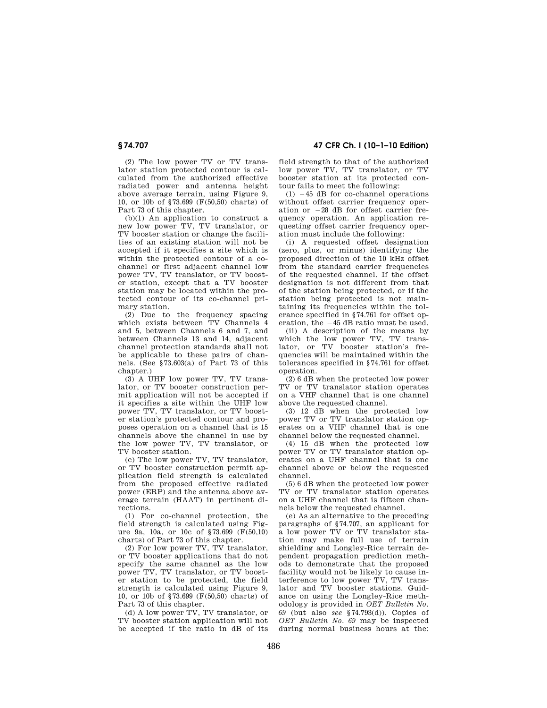**§ 74.707 47 CFR Ch. I (10–1–10 Edition)** 

(2) The low power TV or TV translator station protected contour is calculated from the authorized effective radiated power and antenna height above average terrain, using Figure 9, 10, or 10b of §73.699 (F(50,50) charts) of Part 73 of this chapter.

(b)(1) An application to construct a new low power TV, TV translator, or TV booster station or change the facilities of an existing station will not be accepted if it specifies a site which is within the protected contour of a cochannel or first adjacent channel low power TV, TV translator, or TV booster station, except that a TV booster station may be located within the protected contour of its co-channel primary station.

(2) Due to the frequency spacing which exists between TV Channels 4 and 5, between Channels 6 and 7, and between Channels 13 and 14, adjacent channel protection standards shall not be applicable to these pairs of channels. (See §73.603(a) of Part 73 of this chapter.)

(3) A UHF low power TV, TV translator, or TV booster construction permit application will not be accepted if it specifies a site within the UHF low power TV, TV translator, or TV booster station's protected contour and proposes operation on a channel that is 15 channels above the channel in use by the low power TV, TV translator, or TV booster station.

(c) The low power TV, TV translator, or TV booster construction permit application field strength is calculated from the proposed effective radiated power (ERP) and the antenna above average terrain (HAAT) in pertinent directions.

(1) For co-channel protection, the field strength is calculated using Figure 9a, 10a, or 10c of §73.699 (F(50,10) charts) of Part 73 of this chapter.

(2) For low power TV, TV translator, or TV booster applications that do not specify the same channel as the low power TV, TV translator, or TV booster station to be protected, the field strength is calculated using Figure 9, 10, or 10b of §73.699 (F(50,50) charts) of Part 73 of this chapter.

(d) A low power TV, TV translator, or TV booster station application will not be accepted if the ratio in dB of its field strength to that of the authorized low power TV, TV translator, or TV booster station at its protected contour fails to meet the following:

 $(1)$   $-45$  dB for co-channel operations without offset carrier frequency operation or  $-28$  dB for offset carrier frequency operation. An application requesting offset carrier frequency operation must include the following:

(i) A requested offset designation (zero, plus, or minus) identifying the proposed direction of the 10 kHz offset from the standard carrier frequencies of the requested channel. If the offset designation is not different from that of the station being protected, or if the station being protected is not maintaining its frequencies within the tolerance specified in §74.761 for offset operation, the  $-45$  dB ratio must be used.

(ii) A description of the means by which the low power TV, TV translator, or TV booster station's frequencies will be maintained within the tolerances specified in §74.761 for offset operation.

(2) 6 dB when the protected low power TV or TV translator station operates on a VHF channel that is one channel above the requested channel.

(3) 12 dB when the protected low power TV or TV translator station operates on a VHF channel that is one channel below the requested channel.

(4) 15 dB when the protected low power TV or TV translator station operates on a UHF channel that is one channel above or below the requested channel.

(5) 6 dB when the protected low power TV or TV translator station operates on a UHF channel that is fifteen channels below the requested channel.

(e) As an alternative to the preceding paragraphs of §74.707, an applicant for a low power TV or TV translator station may make full use of terrain shielding and Longley-Rice terrain dependent propagation prediction methods to demonstrate that the proposed facility would not be likely to cause interference to low power TV, TV translator and TV booster stations. Guidance on using the Longley-Rice methodology is provided in *OET Bulletin No. 69* (but also *see* §74.793(d)). Copies of *OET Bulletin No. 69* may be inspected during normal business hours at the: